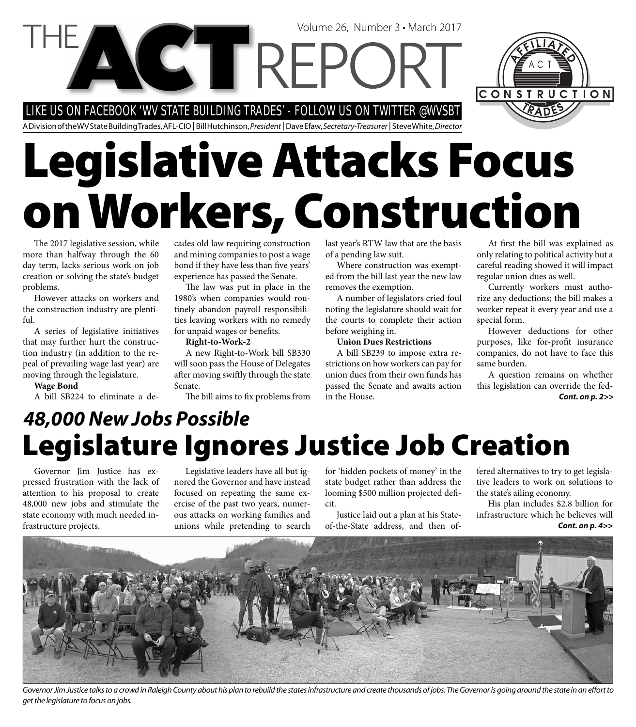LIKE US ON FACEBOOK 'WV STATE BUILDING TRADES' - FOLLOW US ON TWITTER @WVSBT

A Division of the WV State Building Trades, AFL-CIO | Bill Hutchinson, President | Dave Efaw, Secretary-Treasurer | Steve White, Director

# **Legislative Attacks Focus on Workers, Construction**

The 2017 legislative session, while more than halfway through the 60 day term, lacks serious work on job creation or solving the state's budget problems.

However attacks on workers and the construction industry are plentiful.

A series of legislative initiatives that may further hurt the construction industry (in addition to the repeal of prevailing wage last year) are moving through the legislature.

#### **Wage Bond**

A bill SB224 to eliminate a de-

cades old law requiring construction and mining companies to post a wage bond if they have less than five years' experience has passed the Senate.

The law was put in place in the 1980's when companies would routinely abandon payroll responsibilities leaving workers with no remedy for unpaid wages or benefits.

**Right-to-Work-2**

A new Right-to-Work bill SB330 will soon pass the House of Delegates after moving swiftly through the state Senate.

The bill aims to fix problems from

last year's RTW law that are the basis of a pending law suit.

Where construction was exempted from the bill last year the new law removes the exemption.

A number of legislators cried foul noting the legislature should wait for the courts to complete their action before weighing in.

#### **Union Dues Restrictions**

A bill SB239 to impose extra restrictions on how workers can pay for union dues from their own funds has passed the Senate and awaits action in the House.

At first the bill was explained as only relating to political activity but a careful reading showed it will impact regular union dues as well.

Currently workers must authorize any deductions; the bill makes a worker repeat it every year and use a special form.

However deductions for other purposes, like for-profit insurance companies, do not have to face this same burden.

*Cont. on p. 2>>* A question remains on whether this legislation can override the fed-

### **Legislature Ignores Justice Job Creation** *48,000 New Jobs Possible*

Governor Jim Justice has expressed frustration with the lack of attention to his proposal to create 48,000 new jobs and stimulate the state economy with much needed infrastructure projects.

Legislative leaders have all but ignored the Governor and have instead focused on repeating the same exercise of the past two years, numerous attacks on working families and unions while pretending to search

for 'hidden pockets of money' in the state budget rather than address the looming \$500 million projected deficit.

Justice laid out a plan at his Stateof-the-State address, and then offered alternatives to try to get legislative leaders to work on solutions to the state's ailing economy.

His plan includes \$2.8 billion for infrastructure which he believes will *Cont. on p. 4>>*



Governor Jim Justice talks to a crowd in Raleigh County about his plan to rebuild the states infrastructure and create thousands of jobs. The Governor is going around the state in an effort to get the legislature to focus on jobs.



Volume 26, Number 3 • March 2017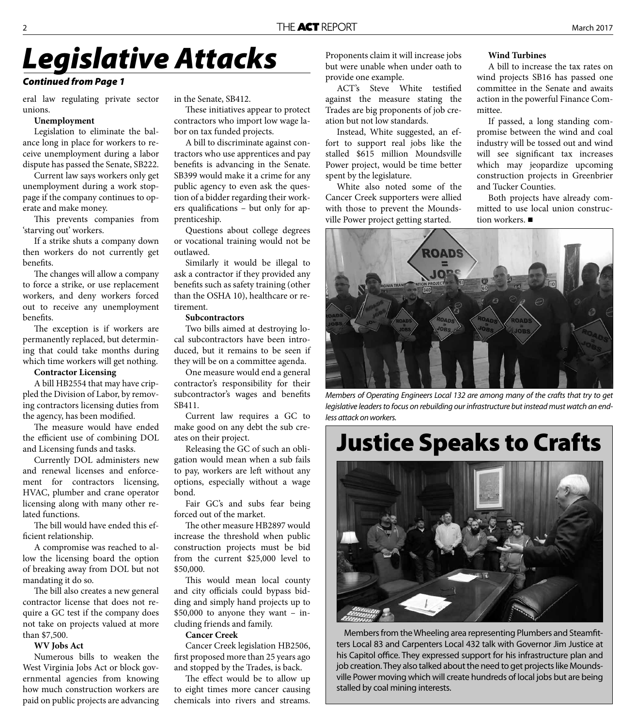# *Legislative Attacks*

#### *Continued from Page 1*

eral law regulating private sector unions.

#### **Unemployment**

Legislation to eliminate the balance long in place for workers to receive unemployment during a labor dispute has passed the Senate, SB222.

Current law says workers only get unemployment during a work stoppage if the company continues to operate and make money.

This prevents companies from 'starving out' workers.

If a strike shuts a company down then workers do not currently get benefits.

The changes will allow a company to force a strike, or use replacement workers, and deny workers forced out to receive any unemployment benefits.

The exception is if workers are permanently replaced, but determining that could take months during which time workers will get nothing.

#### **Contractor Licensing**

A bill HB2554 that may have crippled the Division of Labor, by removing contractors licensing duties from the agency, has been modified.

The measure would have ended the efficient use of combining DOL and Licensing funds and tasks.

Currently DOL administers new and renewal licenses and enforcement for contractors licensing, HVAC, plumber and crane operator licensing along with many other related functions.

The bill would have ended this efficient relationship.

A compromise was reached to allow the licensing board the option of breaking away from DOL but not mandating it do so.

The bill also creates a new general contractor license that does not require a GC test if the company does not take on projects valued at more than \$7,500.

#### **WV Jobs Act**

Numerous bills to weaken the West Virginia Jobs Act or block governmental agencies from knowing how much construction workers are paid on public projects are advancing in the Senate, SB412.

These initiatives appear to protect contractors who import low wage labor on tax funded projects.

A bill to discriminate against contractors who use apprentices and pay benefits is advancing in the Senate. SB399 would make it a crime for any public agency to even ask the question of a bidder regarding their workers qualifications – but only for apprenticeship.

Questions about college degrees or vocational training would not be outlawed.

Similarly it would be illegal to ask a contractor if they provided any benefits such as safety training (other than the OSHA 10), healthcare or retirement.

#### **Subcontractors**

Two bills aimed at destroying local subcontractors have been introduced, but it remains to be seen if they will be on a committee agenda.

One measure would end a general contractor's responsibility for their subcontractor's wages and benefits SB411.

Current law requires a GC to make good on any debt the sub creates on their project.

Releasing the GC of such an obligation would mean when a sub fails to pay, workers are left without any options, especially without a wage bond.

Fair GC's and subs fear being forced out of the market.

The other measure HB2897 would increase the threshold when public construction projects must be bid from the current \$25,000 level to \$50,000.

This would mean local county and city officials could bypass bidding and simply hand projects up to \$50,000 to anyone they want – including friends and family.

#### **Cancer Creek**

Cancer Creek legislation HB2506, first proposed more than 25 years ago and stopped by the Trades, is back.

The effect would be to allow up to eight times more cancer causing chemicals into rivers and streams.

Proponents claim it will increase jobs but were unable when under oath to provide one example.

ACT's Steve White testified against the measure stating the Trades are big proponents of job creation but not low standards.

Instead, White suggested, an effort to support real jobs like the stalled \$615 million Moundsville Power project, would be time better spent by the legislature.

White also noted some of the Cancer Creek supporters were allied with those to prevent the Moundsville Power project getting started.

#### **Wind Turbines**

A bill to increase the tax rates on wind projects SB16 has passed one committee in the Senate and awaits action in the powerful Finance Committee.

If passed, a long standing compromise between the wind and coal industry will be tossed out and wind will see significant tax increases which may jeopardize upcoming construction projects in Greenbrier and Tucker Counties.

Both projects have already committed to use local union construction workers. ■



Members of Operating Engineers Local 132 are among many of the crafts that try to get legislative leaders to focus on rebuilding our infrastructure but instead must watch an endless attack on workers.

### **Justice Speaks to Crafts**



Members from the Wheeling area representing Plumbers and Steamfitters Local 83 and Carpenters Local 432 talk with Governor Jim Justice at his Capitol office. They expressed support for his infrastructure plan and job creation. They also talked about the need to get projects like Moundsville Power moving which will create hundreds of local jobs but are being stalled by coal mining interests.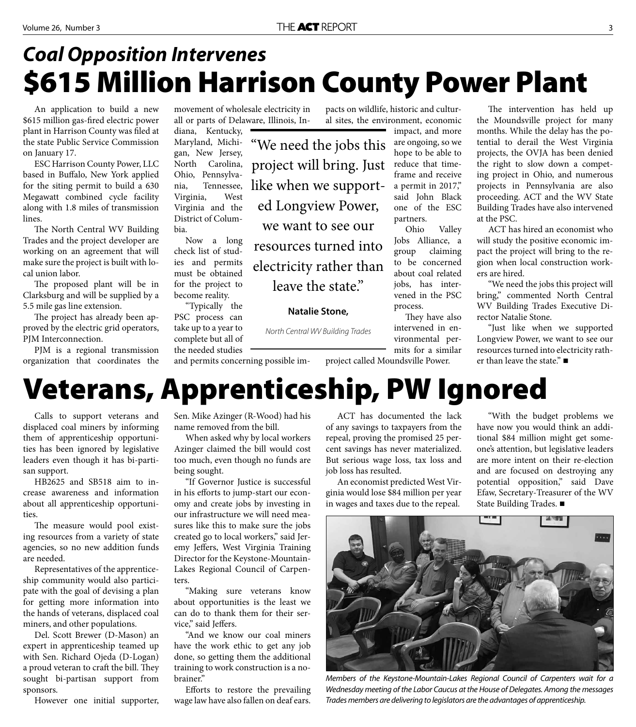"We need the jobs this

project will bring. Just

like when we support-

ed Longview Power,

we want to see our

resources turned into

electricity rather than

leave the state."

**Natalie Stone,** 

North Central WV Building Trades

### **\$615 Million Harrison County Power Plant** *Coal Opposition Intervenes*

An application to build a new \$615 million gas-fired electric power plant in Harrison County was filed at the state Public Service Commission on January 17.

ESC Harrison County Power, LLC based in Buffalo, New York applied for the siting permit to build a 630 Megawatt combined cycle facility along with 1.8 miles of transmission lines.

The North Central WV Building Trades and the project developer are working on an agreement that will make sure the project is built with local union labor.

The proposed plant will be in Clarksburg and will be supplied by a 5.5 mile gas line extension.

The project has already been approved by the electric grid operators, PJM Interconnection.

PJM is a regional transmission organization that coordinates the movement of wholesale electricity in all or parts of Delaware, Illinois, Indiana, Kentucky,

Maryland, Michigan, New Jersey, North Carolina, Ohio, Pennsylvania, Tennessee, Virginia, West Virginia and the District of Columbia.

Now a long check list of studies and permits must be obtained for the project to become reality.

"Typically the PSC process can take up to a year to complete but all of

the needed studies and permits concerning possible im-

pacts on wildlife, historic and cultural sites, the environment, economic

impact, and more are ongoing, so we hope to be able to reduce that timeframe and receive a permit in 2017," said John Black one of the ESC partners.

Ohio Valley Jobs Alliance, a group claiming to be concerned about coal related jobs, has intervened in the PSC process.

They have also intervened in environmental permits for a similar

The intervention has held up the Moundsville project for many months. While the delay has the potential to derail the West Virginia projects, the OVJA has been denied the right to slow down a competing project in Ohio, and numerous projects in Pennsylvania are also proceeding. ACT and the WV State Building Trades have also intervened at the PSC.

ACT has hired an economist who will study the positive economic impact the project will bring to the region when local construction workers are hired.

"We need the jobs this project will bring," commented North Central WV Building Trades Executive Director Natalie Stone.

"Just like when we supported Longview Power, we want to see our resources turned into electricity rather than leave the state." ■

project called Moundsville Power.

## **Veterans, Apprenticeship, PW Ignored**

Calls to support veterans and displaced coal miners by informing them of apprenticeship opportunities has been ignored by legislative leaders even though it has bi-partisan support.

HB2625 and SB518 aim to increase awareness and information about all apprenticeship opportunities.

The measure would pool existing resources from a variety of state agencies, so no new addition funds are needed.

Representatives of the apprenticeship community would also participate with the goal of devising a plan for getting more information into the hands of veterans, displaced coal miners, and other populations.

Del. Scott Brewer (D-Mason) an expert in apprenticeship teamed up with Sen. Richard Ojeda (D-Logan) a proud veteran to craft the bill. They sought bi-partisan support from sponsors.

However one initial supporter,

Sen. Mike Azinger (R-Wood) had his name removed from the bill.

When asked why by local workers Azinger claimed the bill would cost too much, even though no funds are being sought.

"If Governor Justice is successful in his efforts to jump-start our economy and create jobs by investing in our infrastructure we will need measures like this to make sure the jobs created go to local workers," said Jeremy Jeffers, West Virginia Training Director for the Keystone-Mountain-Lakes Regional Council of Carpenters.

"Making sure veterans know about opportunities is the least we can do to thank them for their service," said Jeffers.

"And we know our coal miners have the work ethic to get any job done, so getting them the additional training to work construction is a nobrainer."

Efforts to restore the prevailing wage law have also fallen on deaf ears.

ACT has documented the lack of any savings to taxpayers from the repeal, proving the promised 25 percent savings has never materialized. But serious wage loss, tax loss and job loss has resulted.

An economist predicted West Virginia would lose \$84 million per year in wages and taxes due to the repeal.

"With the budget problems we have now you would think an additional \$84 million might get someone's attention, but legislative leaders are more intent on their re-election and are focused on destroying any potential opposition," said Dave Efaw, Secretary-Treasurer of the WV State Building Trades.

Members of the Keystone-Mountain-Lakes Regional Council of Carpenters wait for a Wednesday meeting of the Labor Caucus at the House of Delegates. Among the messages

Trades members are delivering to legislators are the advantages of apprenticeship.